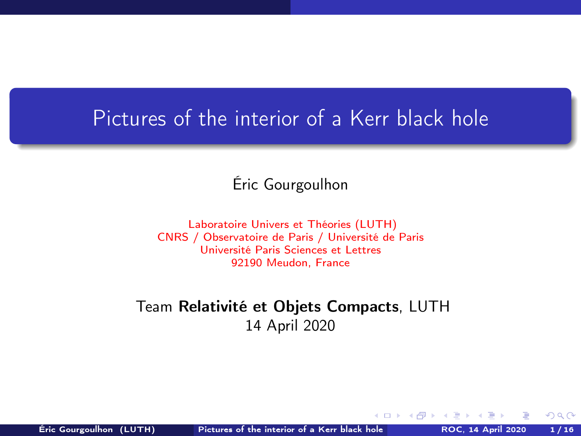### <span id="page-0-0"></span>Pictures of the interior of a Kerr black hole

### Éric Gourgoulhon

[Laboratoire Univers et Théories \(LUTH\)](https://luth.obspm.fr) CNRS / Observatoire de Paris / Université de Paris Université Paris Sciences et Lettres 92190 Meudon, France

### Team Relativité et Objets Compacts, LUTH 14 April 2020

 $\Omega$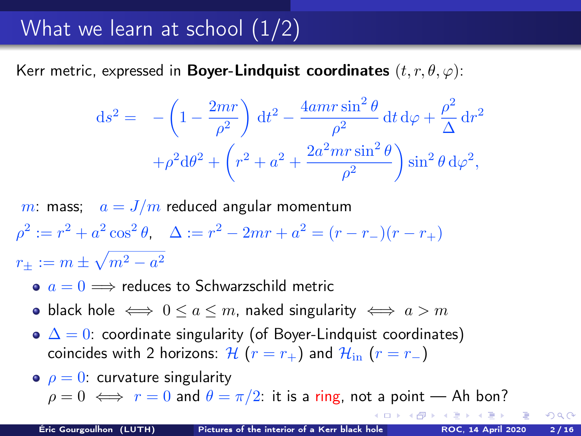# What we learn at school (1/2)

Kerr metric, expressed in Boyer-Lindquist coordinates  $(t, r, \theta, \varphi)$ :

$$
ds^{2} = -\left(1 - \frac{2mr}{\rho^{2}}\right) dt^{2} - \frac{4amr\sin^{2}\theta}{\rho^{2}} dt d\varphi + \frac{\rho^{2}}{\Delta} dr^{2}
$$

$$
+ \rho^{2} d\theta^{2} + \left(r^{2} + a^{2} + \frac{2a^{2}mr\sin^{2}\theta}{\rho^{2}}\right) \sin^{2}\theta d\varphi^{2},
$$

m: mass;  $a = J/m$  reduced angular momentum  $\rho^2 := r^2 + a^2 \cos^2 \theta$ ,  $\Delta := r^2 - 2mr + a^2 = (r - r_-)(r - r_+)$  $r_{\pm}:=m\pm\sqrt{m^{2}-a^{2}}$ 

- $a = 0 \implies$  reduces to Schwarzschild metric
- black hole  $\Leftrightarrow$   $0 \le a \le m$ , naked singularity  $\Leftrightarrow a > m$
- $\Delta = 0$ : coordinate singularity (of Boyer-Lindquist coordinates) coincides with 2 horizons:  $\mathcal{H}$  ( $r = r_+$ ) and  $\mathcal{H}_{in}$  ( $r = r_-$ )
- $\rho = 0$ : curvature singularity  $\rho = 0 \iff r = 0$  and  $\theta = \pi/2$ : it is a ring, not a point — Ah bon?

 $\Omega$ 

(ロ) (個) (星) (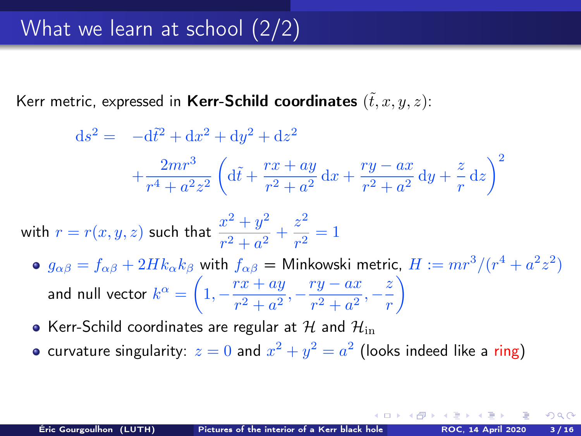Kerr metric, expressed in Kerr-Schild coordinates  $(\tilde{t}, x, y, z)$ :

$$
ds^{2} = -d\tilde{t}^{2} + dx^{2} + dy^{2} + dz^{2}
$$
  
+ 
$$
\frac{2mr^{3}}{r^{4} + a^{2}z^{2}} \left( d\tilde{t} + \frac{rx + ay}{r^{2} + a^{2}} dx + \frac{ry - ax}{r^{2} + a^{2}} dy + \frac{z}{r} dz \right)^{2}
$$

with  $r = r(x, y, z)$  such that  $\frac{x^2 + y^2}{2}$  $\frac{x^2+y^2}{r^2+a^2}+\frac{z^2}{r^2}$  $\frac{1}{r^2} = 1$ 

- $g_{\alpha\beta}=f_{\alpha\beta}+2Hk_{\alpha}k_{\beta}$  with  $f_{\alpha\beta}=$  Minkowski metric,  $H:=mr^3/(r^4+a^2z^2)$ and null vector  $k^{\alpha} = \left(1, -\frac{rx + ay}{2} \right)$  $\frac{rx+ay}{r^2+a^2}, -\frac{ry-ax}{r^2+a^2}$  $\frac{ry - ax}{r^2 + a^2}, -\frac{z}{r}$ r  $\setminus$
- Kerr-Schild coordinates are regular at H and  $\mathcal{H}_{\text{in}}$
- curvature singularity:  $z = 0$  and  $x^2 + y^2 = a^2$  (looks indeed like a ring)

(□ ) (何 ) (三 ) (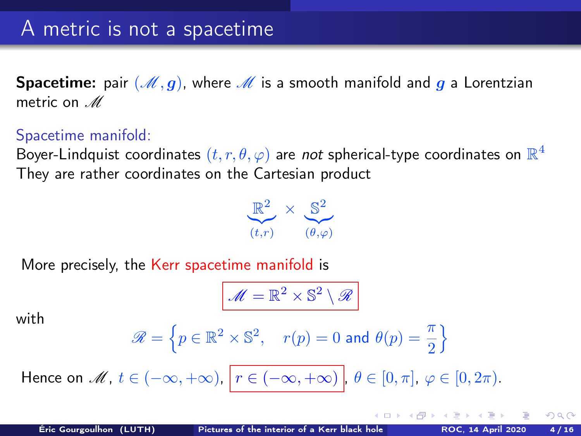<span id="page-3-0"></span>**Spacetime:** pair  $(\mathcal{M}, g)$ , where  $\mathcal{M}$  is a smooth manifold and g a Lorentzian metric on  $M$ 

#### Spacetime manifold:

Boyer-Lindquist coordinates  $(t,r,\theta,\varphi)$  are *not* spherical-type coordinates on  $\mathbb{R}^4$ They are rather coordinates on the Cartesian product



More precisely, the Kerr spacetime manifold is

$$
\mathcal{M} = \mathbb{R}^2 \times \mathbb{S}^2 \setminus \mathcal{R}
$$

with

$$
\mathscr{R} = \left\{ p \in \mathbb{R}^2 \times \mathbb{S}^2, \quad r(p) = 0 \text{ and } \theta(p) = \frac{\pi}{2} \right\}
$$

Hence on  $\mathscr{M}, t \in (-\infty, +\infty)$ ,  $r \in (-\infty, +\infty)$ ,  $\theta \in [0, \pi]$ ,  $\varphi \in [0, 2\pi)$ .

റാ റ

( ロ ) ( 何 ) ( ヨ ) (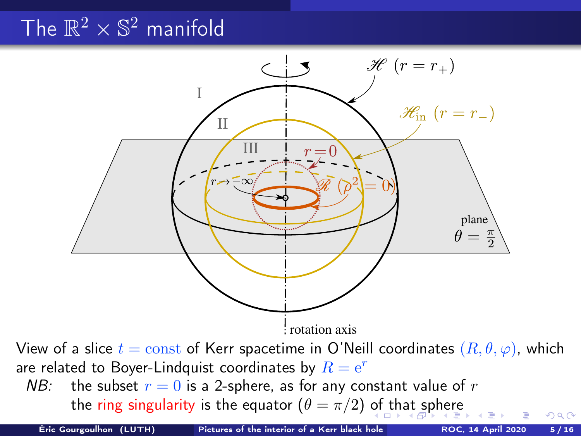# <span id="page-4-0"></span>The  $\mathbb{R}^2 \times \mathbb{S}^2$  manifold

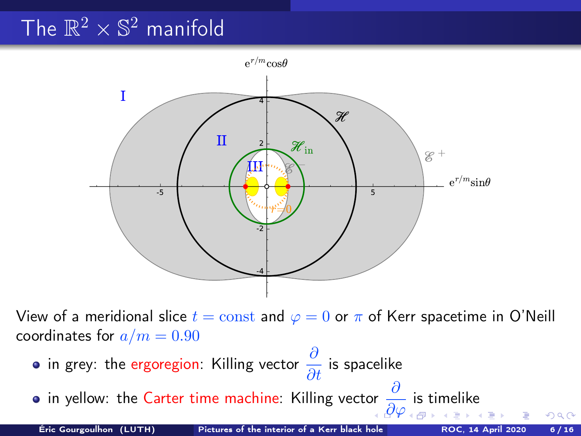# <span id="page-5-0"></span>The  $\mathbb{R}^2 \times \mathbb{S}^2$  manifold



View of a meridional slice  $t = \text{const}$  and  $\varphi = 0$  or  $\pi$  of Kerr spacetime in O'Neill coordinates for  $a/m = 0.90$ 

in grey: the ergoregion: Killing vector  $\frac{\partial}{\partial t}$  is spacelike

in yellow: the Carter time machine: Killing vector  $\frac{\partial}{\partial \varphi}$  is timelike

 $QQ$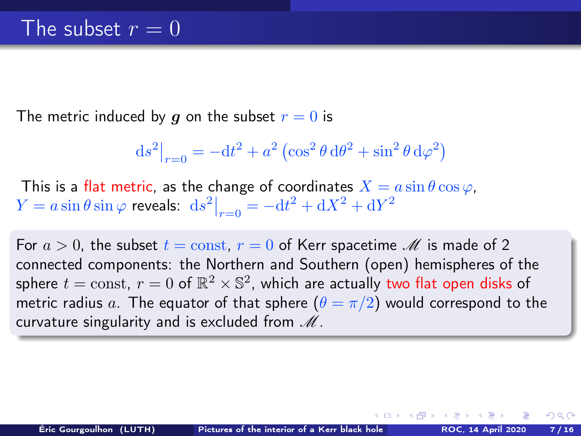<span id="page-6-0"></span>The metric induced by g on the subset  $r = 0$  is

$$
\mathrm{d}s^2\big|_{r=0} = -\mathrm{d}t^2 + a^2\left(\cos^2\theta\,\mathrm{d}\theta^2 + \sin^2\theta\,\mathrm{d}\varphi^2\right)
$$

This is a flat metric, as the change of coordinates  $X = a \sin \theta \cos \varphi$ ,  $Y = a \sin \theta \sin \varphi$  reveals:  $ds^2\big|_{r=0} = -dt^2 + dX^2 + dY^2$ 

For  $a > 0$ , the subset  $t = \text{const}$ ,  $r = 0$  of Kerr spacetime  $\mathcal M$  is made of 2 connected components: the Northern and Southern (open) hemispheres of the sphere  $t={\rm const},\ r=0$  of  $\mathbb{R}^2\times\mathbb{S}^2$ , which are actually two flat open disks of metric radius a. The equator of that sphere  $(\theta = \pi/2)$  would correspond to the curvature singularity and is excluded from  $\mathcal{M}$ .

**KO K K H K K E K K**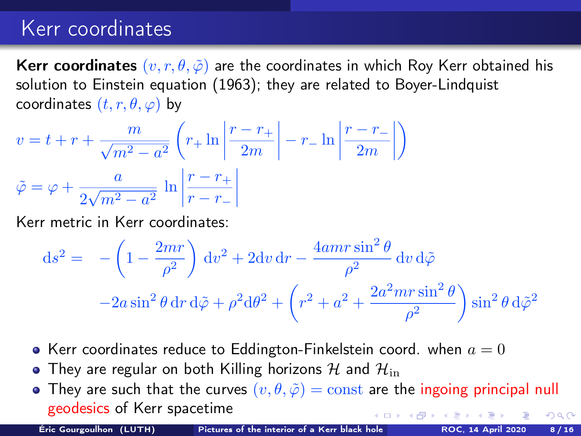# Kerr coordinates

**Kerr coordinates**  $(v, r, \theta, \tilde{\varphi})$  are the coordinates in which Roy Kerr obtained his solution to Einstein equation (1963); they are related to Boyer-Lindquist coordinates  $(t, r, \theta, \varphi)$  by

$$
v = t + r + \frac{m}{\sqrt{m^2 - a^2}} \left( r_+ \ln \left| \frac{r - r_+}{2m} \right| - r_- \ln \left| \frac{r - r_-}{2m} \right| \right)
$$

$$
\tilde{\varphi} = \varphi + \frac{a}{2\sqrt{m^2 - a^2}} \ln \left| \frac{r - r_+}{r - r_-} \right|
$$

Kerr metric in Kerr coordinates:

$$
ds^{2} = -\left(1 - \frac{2mr}{\rho^{2}}\right) dv^{2} + 2dv dr - \frac{4amr \sin^{2}\theta}{\rho^{2}} dv d\tilde{\varphi}
$$

$$
-2a \sin^{2}\theta dr d\tilde{\varphi} + \rho^{2} d\theta^{2} + \left(r^{2} + a^{2} + \frac{2a^{2}mr \sin^{2}\theta}{\rho^{2}}\right) \sin^{2}\theta d\tilde{\varphi}^{2}
$$

- Kerr coordinates reduce to Eddington-Finkelstein coord. when  $a = 0$
- They are regular on both Killing horizons H and  $\mathcal{H}_{\text{in}}$
- They are such that the curves  $(v, \theta, \tilde{\varphi}) = \text{const}$  are the ingoing principal null geodesics of Kerr spacetime  $($   $\Box$   $\rightarrow$   $\langle$   $\oplus$   $\rangle$   $\rightarrow$  $\Omega$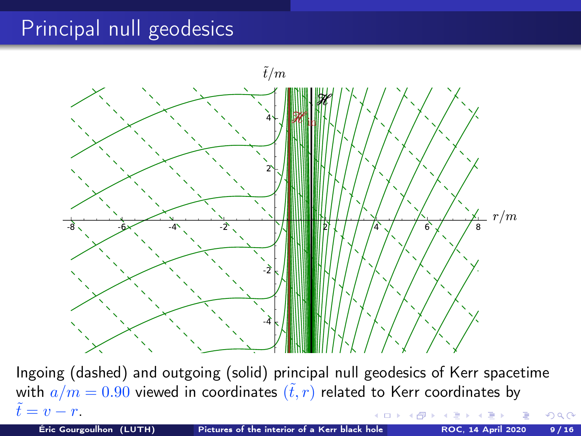# Principal null geodesics



Ingoing (dashed) and outgoing (solid) principal null geodesics of Kerr spacetime with  $a/m = 0.90$  viewed in coordinates  $(\tilde{t}, r)$  related to Kerr coordinates by  $\tilde{t} = v - r.$  $QQ$ **K ロ ▶ K 御 ▶ K 毛**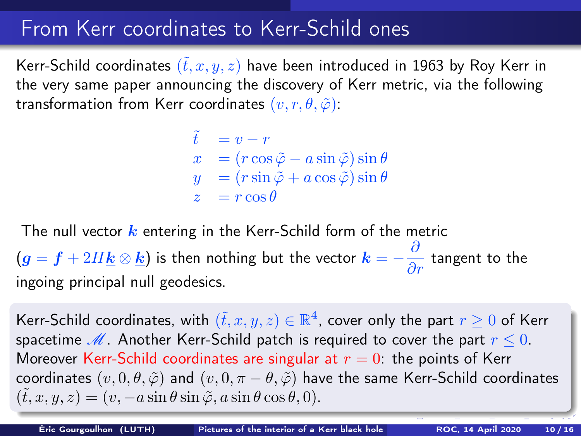# From Kerr coordinates to Kerr-Schild ones

Kerr-Schild coordinates  $(\tilde{t}, x, y, z)$  have been introduced in 1963 by Roy Kerr in the very same paper announcing the discovery of Kerr metric, via the following transformation from Kerr coordinates  $(v, r, \theta, \tilde{\varphi})$ :

> $\tilde{t} = v - r$  $x = (r \cos \tilde{\varphi} - a \sin \tilde{\varphi}) \sin \theta$  $y = (r \sin \tilde{\varphi} + a \cos \tilde{\varphi}) \sin \theta$  $z = r \cos \theta$

The null vector  $k$  entering in the Kerr-Schild form of the metric  $(g=f+2H\underline{k}\otimes \underline{k})$  is then nothing but the vector  $\bm{k}=-\frac{\partial}{\partial r}$  tangent to the ingoing principal null geodesics.

Kerr-Schild coordinates, with  $(\tilde{t},x,y,z)\in \mathbb{R}^4$ , cover only the part  $r\geq 0$  of Kerr spacetime  $M$ . Another Kerr-Schild patch is required to cover the part  $r \leq 0$ . Moreover Kerr-Schild coordinates are singular at  $r = 0$ : the points of Kerr coordinates  $(v, 0, \theta, \tilde{\varphi})$  and  $(v, 0, \pi - \theta, \tilde{\varphi})$  have the same Kerr-Schild coordinates  $(\tilde{t}, x, y, z) = (v, -a \sin \theta \sin \tilde{\varphi}, a \sin \theta \cos \theta, 0).$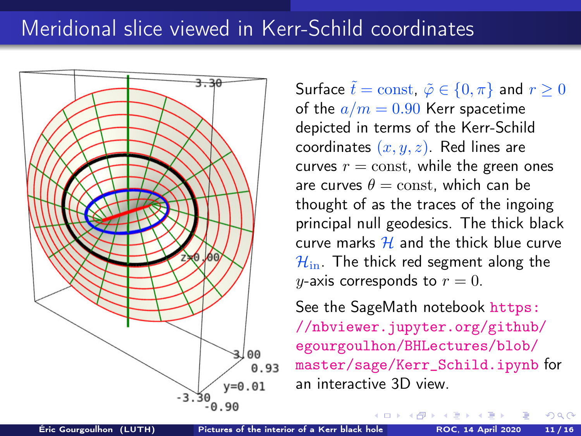# Meridional slice viewed in Kerr-Schild coordinates



Surface  $\tilde{t} = \text{const}, \, \tilde{\varphi} \in \{0, \pi\}$  and  $r \geq 0$ of the  $a/m = 0.90$  Kerr spacetime depicted in terms of the Kerr-Schild coordinates  $(x, y, z)$ . Red lines are curves  $r = \text{const}$ , while the green ones are curves  $\theta = \text{const}$ , which can be thought of as the traces of the ingoing principal null geodesics. The thick black curve marks  $H$  and the thick blue curve  $\mathcal{H}_{\text{in}}$ . The thick red segment along the y-axis corresponds to  $r = 0$ .

See the SageMath notebook [https:](https://nbviewer.jupyter.org/github/egourgoulhon/BHLectures/blob/master/sage/Kerr_Schild.ipynb) [//nbviewer.jupyter.org/github/](https://nbviewer.jupyter.org/github/egourgoulhon/BHLectures/blob/master/sage/Kerr_Schild.ipynb) [egourgoulhon/BHLectures/blob/](https://nbviewer.jupyter.org/github/egourgoulhon/BHLectures/blob/master/sage/Kerr_Schild.ipynb) [master/sage/Kerr\\_Schild.ipynb](https://nbviewer.jupyter.org/github/egourgoulhon/BHLectures/blob/master/sage/Kerr_Schild.ipynb) for an interactive 3D view.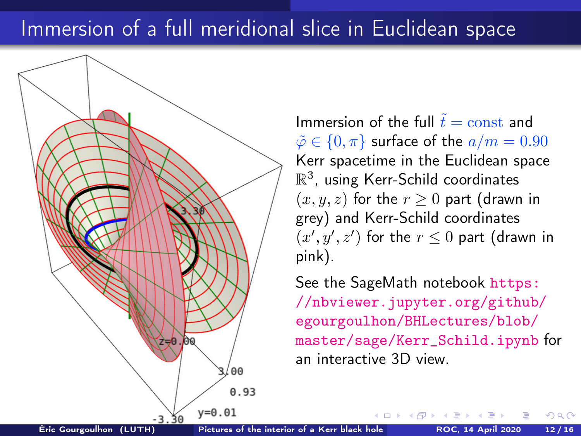# Immersion of a full meridional slice in Euclidean space



Immersion of the full  $\tilde{t} = \text{const}$  and  $\tilde{\varphi} \in \{0, \pi\}$  surface of the  $a/m = 0.90$ Kerr spacetime in the Euclidean space  $\mathbb{R}^3$ , using Kerr-Schild coordinates  $(x, y, z)$  for the  $r > 0$  part (drawn in grey) and Kerr-Schild coordinates  $(x', y', z')$  for the  $r \leq 0$  part (drawn in pink).

See the SageMath notebook [https:](https://nbviewer.jupyter.org/github/egourgoulhon/BHLectures/blob/master/sage/Kerr_Schild.ipynb) [//nbviewer.jupyter.org/github/](https://nbviewer.jupyter.org/github/egourgoulhon/BHLectures/blob/master/sage/Kerr_Schild.ipynb) [egourgoulhon/BHLectures/blob/](https://nbviewer.jupyter.org/github/egourgoulhon/BHLectures/blob/master/sage/Kerr_Schild.ipynb) [master/sage/Kerr\\_Schild.ipynb](https://nbviewer.jupyter.org/github/egourgoulhon/BHLectures/blob/master/sage/Kerr_Schild.ipynb) for an interactive 3D view.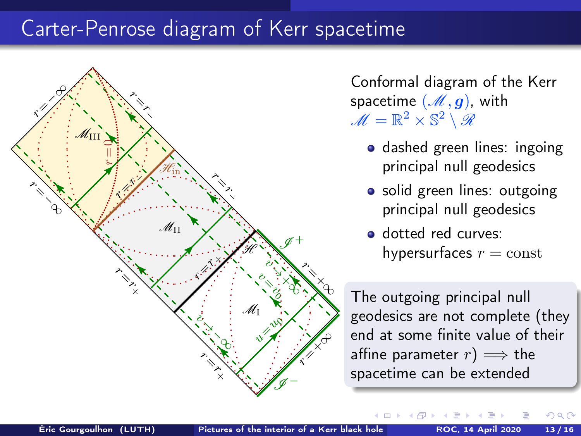# Carter-Penrose diagram of Kerr spacetime



Conformal diagram of the Kerr spacetime  $(\mathcal{M}, \mathbf{q})$ , with  $\mathscr{M} = \mathbb{R}^2 \times \mathbb{S}^2 \setminus \mathscr{R}$ 

- dashed green lines: ingoing principal null geodesics
- solid green lines: outgoing principal null geodesics
- dotted red curves: hypersurfaces  $r = \text{const}$

The outgoing principal null geodesics are not complete (they end at some finite value of their affine parameter  $r$ )  $\Longrightarrow$  the spacetime can be extended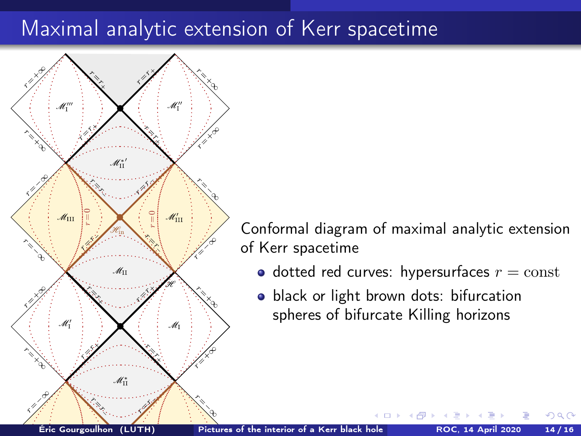# Maximal analytic extension of Kerr spacetime



Conformal diagram of maximal analytic extension of Kerr spacetime

- dotted red curves: hypersurfaces  $r = \text{const}$
- **•** black or light brown dots: bifurcation spheres of bifurcate Killing horizons

 $\leftarrow$   $\Box$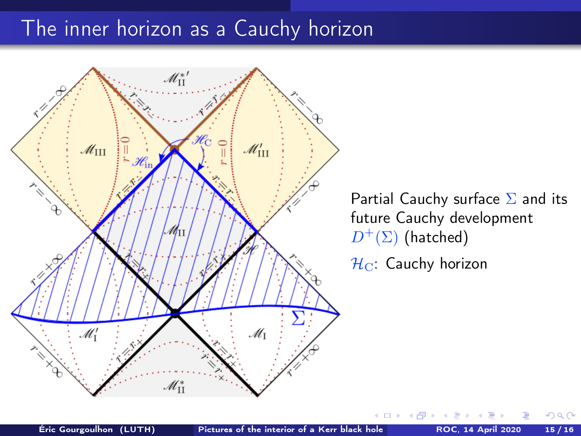## The inner horizon as a Cauchy horizon



Partial Cauchy surface  $\Sigma$  and its future Cauchy development  $D^+(\Sigma)$  (hatched)

 $H_C$ : Cauchy horizon

 $\leftarrow$   $\Box$